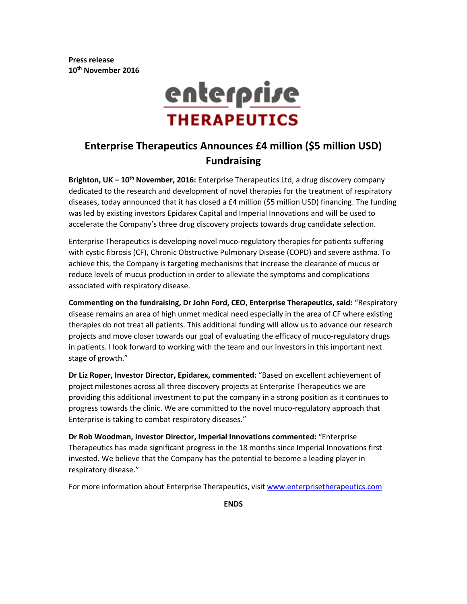**Press release 10th November 2016**



# **Enterprise Therapeutics Announces £4 million (\$5 million USD) Fundraising**

**Brighton, UK – 10th November, 2016:** Enterprise Therapeutics Ltd, a drug discovery company dedicated to the research and development of novel therapies for the treatment of respiratory diseases, today announced that it has closed a £4 million (\$5 million USD) financing. The funding was led by existing investors Epidarex Capital and Imperial Innovations and will be used to accelerate the Company's three drug discovery projects towards drug candidate selection.

Enterprise Therapeutics is developing novel muco-regulatory therapies for patients suffering with cystic fibrosis (CF), Chronic Obstructive Pulmonary Disease (COPD) and severe asthma. To achieve this, the Company is targeting mechanisms that increase the clearance of mucus or reduce levels of mucus production in order to alleviate the symptoms and complications associated with respiratory disease.

**Commenting on the fundraising, Dr John Ford, CEO, Enterprise Therapeutics, said:** "Respiratory disease remains an area of high unmet medical need especially in the area of CF where existing therapies do not treat all patients. This additional funding will allow us to advance our research projects and move closer towards our goal of evaluating the efficacy of muco-regulatory drugs in patients. I look forward to working with the team and our investors in this important next stage of growth."

**Dr Liz Roper, Investor Director, Epidarex, commented:** "Based on excellent achievement of project milestones across all three discovery projects at Enterprise Therapeutics we are providing this additional investment to put the company in a strong position as it continues to progress towards the clinic. We are committed to the novel muco-regulatory approach that Enterprise is taking to combat respiratory diseases."

**Dr Rob Woodman, Investor Director, Imperial Innovations commented:** "Enterprise Therapeutics has made significant progress in the 18 months since Imperial Innovations first invested. We believe that the Company has the potential to become a leading player in respiratory disease."

For more information about Enterprise Therapeutics, visit [www.enterprisetherapeutics.com](http://www.enterprisetherapeutics.com/)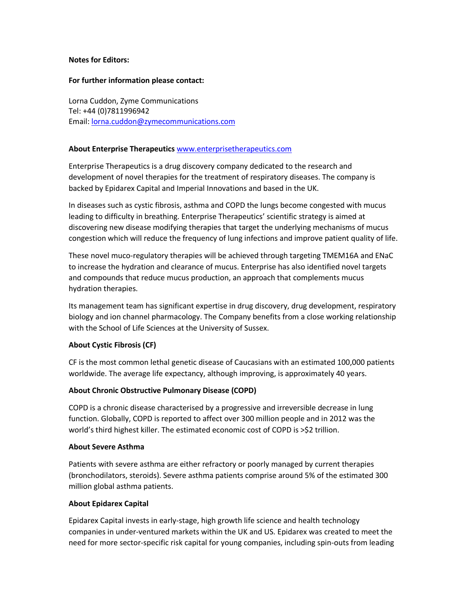## **Notes for Editors:**

#### **For further information please contact:**

Lorna Cuddon, Zyme Communications Tel: +44 (0)7811996942 Email: [lorna.cuddon@zymecommunications.com](mailto:lorna.cuddon@zymecommunications.com)

# **About Enterprise Therapeutics** [www.enterprisetherapeutics.com](http://www.enterprisetherapeutics.com/)

Enterprise Therapeutics is a drug discovery company dedicated to the research and development of novel therapies for the treatment of respiratory diseases. The company is backed by Epidarex Capital and Imperial Innovations and based in the UK.

In diseases such as cystic fibrosis, asthma and COPD the lungs become congested with mucus leading to difficulty in breathing. Enterprise Therapeutics' scientific strategy is aimed at discovering new disease modifying therapies that target the underlying mechanisms of mucus congestion which will reduce the frequency of lung infections and improve patient quality of life.

These novel muco-regulatory therapies will be achieved through targeting TMEM16A and ENaC to increase the hydration and clearance of mucus. Enterprise has also identified novel targets and compounds that reduce mucus production, an approach that complements mucus hydration therapies.

Its management team has significant expertise in drug discovery, drug development, respiratory biology and ion channel pharmacology. The Company benefits from a close working relationship with the School of Life Sciences at the University of Sussex.

# **About Cystic Fibrosis (CF)**

CF is the most common lethal genetic disease of Caucasians with an estimated 100,000 patients worldwide. The average life expectancy, although improving, is approximately 40 years.

# **About Chronic Obstructive Pulmonary Disease (COPD)**

COPD is a chronic disease characterised by a progressive and irreversible decrease in lung function. Globally, COPD is reported to affect over 300 million people and in 2012 was the world's third highest killer. The estimated economic cost of COPD is >\$2 trillion.

#### **About Severe Asthma**

Patients with severe asthma are either refractory or poorly managed by current therapies (bronchodilators, steroids). Severe asthma patients comprise around 5% of the estimated 300 million global asthma patients.

#### **About Epidarex Capital**

Epidarex Capital invests in early-stage, high growth life science and health technology companies in under-ventured markets within the UK and US. Epidarex was created to meet the need for more sector-specific risk capital for young companies, including spin-outs from leading